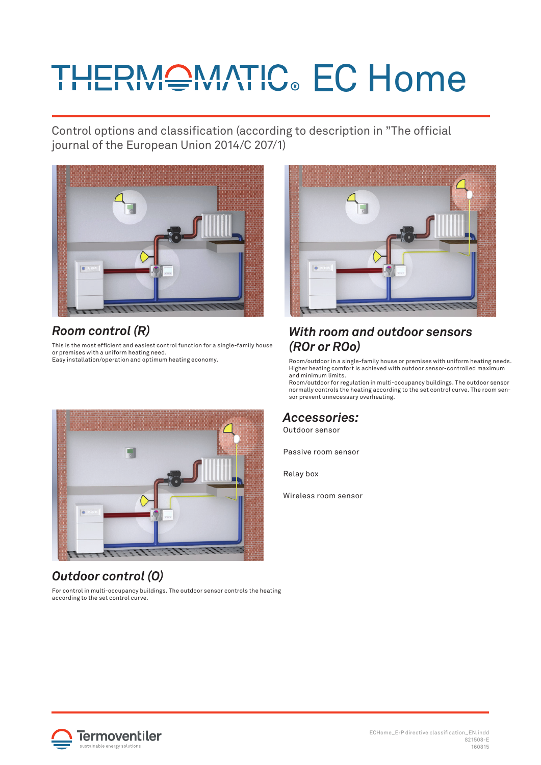# **THEPMONATIC. EC Home**

Control options and classification (according to description in "The official journal of the European Union 2014/C 207/1)



# *Room control (R)*

This is the most efficient and easiest control function for a single-family house or premises with a uniform heating need. Easy installation/operation and optimum heating economy.



### *With room and outdoor sensors (ROr or ROo)*

Room/outdoor in a single-family house or premises with uniform heating needs. Higher heating comfort is achieved with outdoor sensor-controlled maximum and minimum limits.

Room/outdoor for regulation in multi-occupancy buildings. The outdoor sensor normally controls the heating according to the set control curve. The room sensor prevent unnecessary overheating.

#### *Accessories:*

Outdoor sensor

Passive room sensor

Relay box

Wireless room sensor



# *Outdoor control (O)*

For control in multi-occupancy buildings. The outdoor sensor controls the heating according to the set control curve.